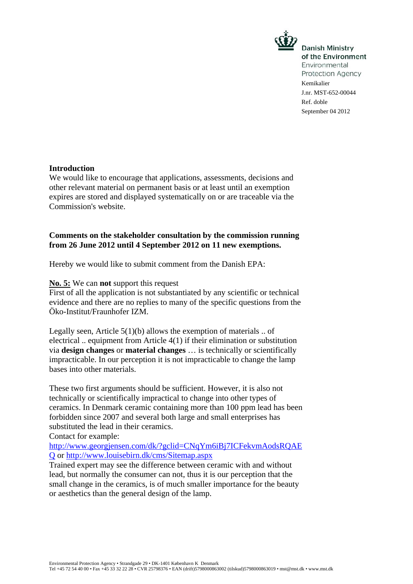

**Danish Ministry** of the Environment Environmental Protection Agency Kemikalier J.nr. MST-652-00044 Ref. doble September 04 2012

### **Introduction**

We would like to encourage that applications, assessments, decisions and other relevant material on permanent basis or at least until an exemption expires are stored and displayed systematically on or are traceable via the Commission's website.

## **Comments on the stakeholder consultation by the commission running from 26 June 2012 until 4 September 2012 on 11 new exemptions.**

Hereby we would like to submit comment from the Danish EPA:

#### **No. 5:** We can **not** support this request

First of all the application is not substantiated by any scientific or technical evidence and there are no replies to many of the specific questions from the Öko-Institut/Fraunhofer IZM.

Legally seen, Article  $5(1)(b)$  allows the exemption of materials ... of electrical .. equipment from Article 4(1) if their elimination or substitution via **design changes** or **material changes** … is technically or scientifically impracticable. In our perception it is not impracticable to change the lamp bases into other materials.

These two first arguments should be sufficient. However, it is also not technically or scientifically impractical to change into other types of ceramics. In Denmark ceramic containing more than 100 ppm lead has been forbidden since 2007 and several both large and small enterprises has substituted the lead in their ceramics.

Contact for example:

http://www.georgjensen.com/dk/?gclid=CNqYm6iBj7ICFekvmAodsRQAE Q or http://www.louisebirn.dk/cms/Sitemap.aspx

Trained expert may see the difference between ceramic with and without lead, but normally the consumer can not, thus it is our perception that the small change in the ceramics, is of much smaller importance for the beauty or aesthetics than the general design of the lamp.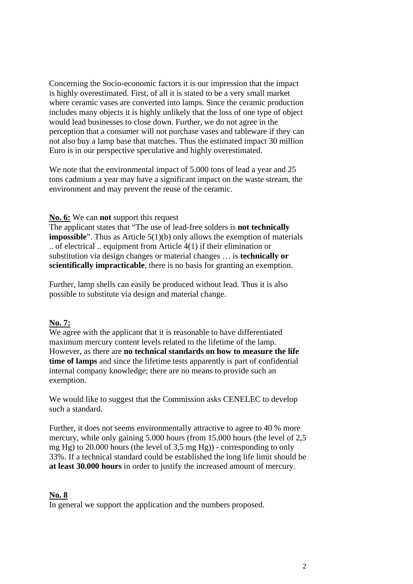Concerning the Socio-economic factors it is our impression that the impact is highly overestimated. First, of all it is stated to be a very small market where ceramic vases are converted into lamps. Since the ceramic production includes many objects it is highly unlikely that the loss of one type of object would lead businesses to close down. Further, we do not agree in the perception that a consumer will not purchase vases and tableware if they can not also buy a lamp base that matches. Thus the estimated impact 30 million Euro is in our perspective speculative and highly overestimated.

We note that the environmental impact of 5.000 tons of lead a year and 25 tons cadmium a year may have a significant impact on the waste stream, the environment and may prevent the reuse of the ceramic.

### **No. 6:** We can **not** support this request

The applicant states that "The use of lead-free solders is **not technically impossible**". Thus as Article 5(1)(b) only allows the exemption of materials .. of electrical .. equipment from Article 4(1) if their elimination or substitution via design changes or material changes … is **technically or scientifically impracticable**, there is no basis for granting an exemption.

Further, lamp shells can easily be produced without lead. Thus it is also possible to substitute via design and material change.

### **No. 7:**

We agree with the applicant that it is reasonable to have differentiated maximum mercury content levels related to the lifetime of the lamp. However, as there are **no technical standards on how to measure the life time of lamps** and since the lifetime tests apparently is part of confidential internal company knowledge; there are no means to provide such an exemption.

We would like to suggest that the Commission asks CENELEC to develop such a standard.

Further, it does not seems environmentally attractive to agree to 40 % more mercury, while only gaining 5.000 hours (from 15.000 hours (the level of 2,5 mg Hg) to 20.000 hours (the level of 3,5 mg Hg)) - corresponding to only 33%. If a technical standard could be established the long life limit should be **at least 30.000 hours** in order to justify the increased amount of mercury.

### **No. 8**

In general we support the application and the numbers proposed.